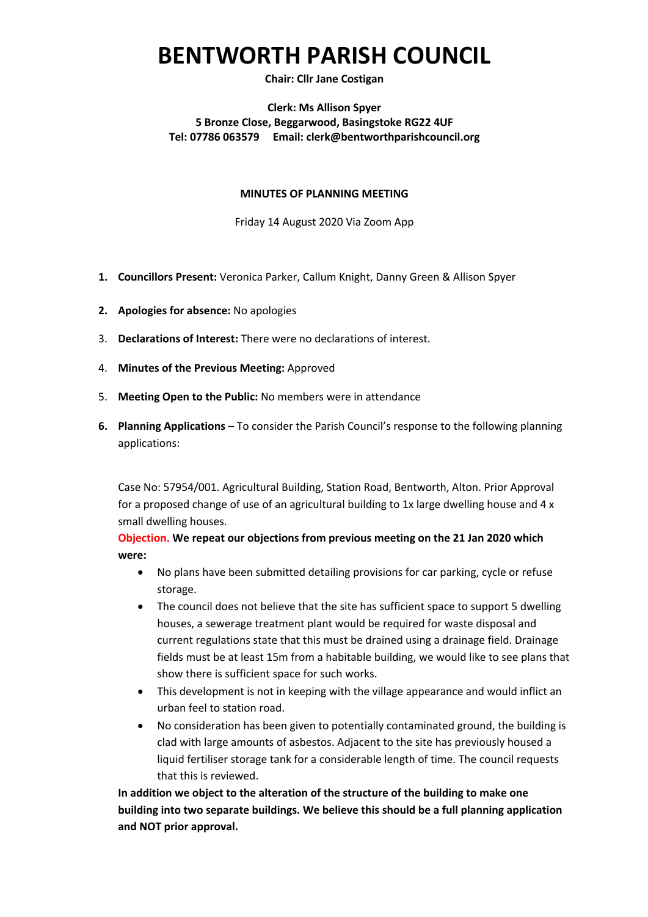# **BENTWORTH PARISH COUNCIL**

### **Chair: Cllr Jane Costigan**

### **Clerk: Ms Allison Spyer 5 Bronze Close, Beggarwood, Basingstoke RG22 4UF Tel: 07786 063579 Email: clerk@bentworthparishcouncil.org**

#### **MINUTES OF PLANNING MEETING**

Friday 14 August 2020 Via Zoom App

- **1. Councillors Present:** Veronica Parker, Callum Knight, Danny Green & Allison Spyer
- **2. Apologies for absence:** No apologies
- 3. **Declarations of Interest:** There were no declarations of interest.
- 4. **Minutes of the Previous Meeting:** Approved
- 5. **Meeting Open to the Public:** No members were in attendance
- **6. Planning Applications**  To consider the Parish Council's response to the following planning applications:

Case No: 57954/001. Agricultural Building, Station Road, Bentworth, Alton. Prior Approval for a proposed change of use of an agricultural building to 1x large dwelling house and 4 x small dwelling houses.

**Objection. We repeat our objections from previous meeting on the 21 Jan 2020 which were:**

- No plans have been submitted detailing provisions for car parking, cycle or refuse storage.
- The council does not believe that the site has sufficient space to support 5 dwelling houses, a sewerage treatment plant would be required for waste disposal and current regulations state that this must be drained using a drainage field. Drainage fields must be at least 15m from a habitable building, we would like to see plans that show there is sufficient space for such works.
- This development is not in keeping with the village appearance and would inflict an urban feel to station road.
- No consideration has been given to potentially contaminated ground, the building is clad with large amounts of asbestos. Adjacent to the site has previously housed a liquid fertiliser storage tank for a considerable length of time. The council requests that this is reviewed.

**In addition we object to the alteration of the structure of the building to make one building into two separate buildings. We believe this should be a full planning application and NOT prior approval.**